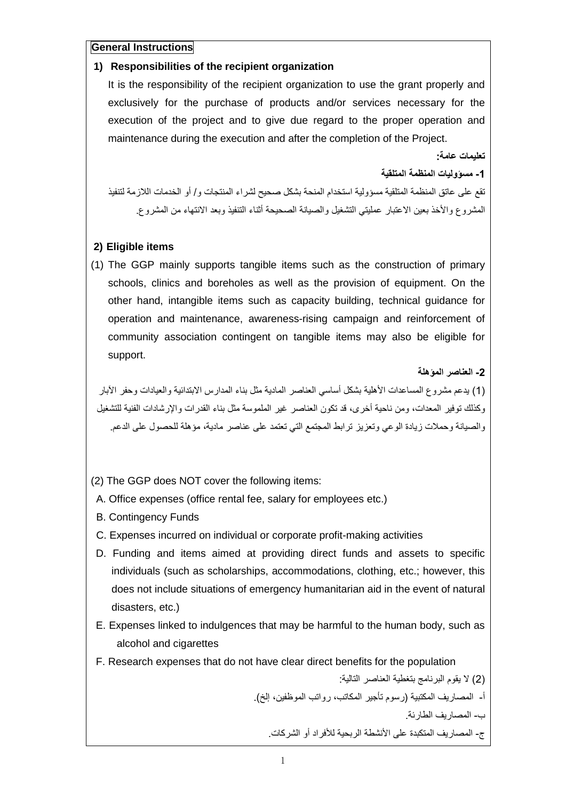**General Instructions**

#### **1) Responsibilities of the recipient organization**

It is the responsibility of the recipient organization to use the grant properly and exclusively for the purchase of products and/or services necessary for the execution of the project and to give due regard to the proper operation and maintenance during the execution and after the completion of the Project.

**تعليمات عامة:**

**-1 مسؤوليات المنظمة المتلقية**

تقع على عاتق المنظمة المتلقية مسؤولية استخدام المنحة بشكل صحيح لشراء المنتجات و/ أو الخدمات الالزمة لتنفيذ المشروع والأخذ بعين الاعتبار عمليتي التشغيل والصيانة الصحيحة أثناء التنفيذ وبعد الانتهاء من المشروع.

## **2) Eligible items**

(1) The GGP mainly supports tangible items such as the construction of primary schools, clinics and boreholes as well as the provision of equipment. On the other hand, intangible items such as capacity building, technical guidance for operation and maintenance, awareness-rising campaign and reinforcement of community association contingent on tangible items may also be eligible for support.

## **-2 العناصر المؤهلة**

(1) بدعم مشر وع المساعدات الأهلية بشكل أساسي العناصر المادية مثل بناء المدارس الابتدائية والعبادات وحفر الآبار وكذلك توفير المعدات، ومن ناحية أخرى، قد تكون العناصر غير الملموسة مثل بناء القدرات واإلرشادات الفنية للتشغيل والصيانة وحمالت زيادة الوعي وتعزيز ترابط المجتمع التي تعتمد على عناصر مادية، مؤهلة للحصول على الدعم.

- (2) The GGP does NOT cover the following items:
- A. Office expenses (office rental fee, salary for employees etc.)
- B. Contingency Funds
- C. Expenses incurred on individual or corporate profit-making activities
- D. Funding and items aimed at providing direct funds and assets to specific individuals (such as scholarships, accommodations, clothing, etc.; however, this does not include situations of emergency humanitarian aid in the event of natural disasters, etc.)
- E. Expenses linked to indulgences that may be harmful to the human body, such as alcohol and cigarettes
- F. Research expenses that do not have clear direct benefits for the population

)2( ال يقوم البرنامج بتغطية العناصر التالية: أ- المصاريف المكتبية (رسوم تأجير المكاتب، رواتب الموظفين، إلخ). ب- المصاريف الطارئة. ج- المصـار بف المتكبدة على الأنشطة الربحية للأفر اد أو الشركات.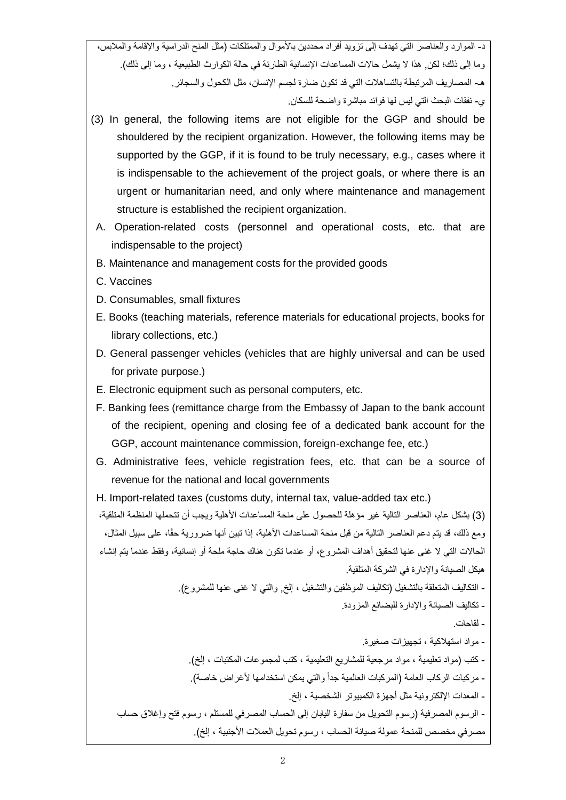د- الموارد والعناصر التي تهدف إلى تزويد أفراد محددين بالأموال والممتلكات (مثل المنح الدراسية والإقامة والملابس، وما إلى ذلك؛ لكن, هذا لا يشمل حالات المساعدات الإنسانية الطارئة في حالة الكوارث الطبيعية ، وما إلى ذلك). هـ- المصاريف المرتبطة بالتساهالت التي قد تكون ضارة لجسم اإلنسان، مثل الكحول والسجائر. ي- نفقات البحث التي ليس لها فوائد مباشرة واضحة للسكان.

- (3) In general, the following items are not eligible for the GGP and should be shouldered by the recipient organization. However, the following items may be supported by the GGP, if it is found to be truly necessary, e.g., cases where it is indispensable to the achievement of the project goals, or where there is an urgent or humanitarian need, and only where maintenance and management structure is established the recipient organization.
- A. Operation-related costs (personnel and operational costs, etc. that are indispensable to the project)
- B. Maintenance and management costs for the provided goods
- C. Vaccines
- D. Consumables, small fixtures
- E. Books (teaching materials, reference materials for educational projects, books for library collections, etc.)
- D. General passenger vehicles (vehicles that are highly universal and can be used for private purpose.)
- E. Electronic equipment such as personal computers, etc.
- F. Banking fees (remittance charge from the Embassy of Japan to the bank account of the recipient, opening and closing fee of a dedicated bank account for the GGP, account maintenance commission, foreign-exchange fee, etc.)
- G. Administrative fees, vehicle registration fees, etc. that can be a source of revenue for the national and local governments
- H. Import-related taxes (customs duty, internal tax, value-added tax etc.)

)3( بشكل عام، العناصر التالية غير مؤهلة للحصول على منحة المساعدات األهلية ويجب أن تتحملها المنظمة المتلقية، ومع ذلك، قد يتم دعم العناصر التالية من قبل منحة المساعدات الأهلية، إذا تبين أنها ضرورية حقًا، على سبيل المثال، الحاالت التي ال غنى عنها لتحقيق أهداف المشروع، أو عندما تكون هناك حاجة ملحة أو إنسانية، وفقط عندما يتم إنشاء هيكل الصيانة واإلدارة في الشركة المتلقية. - التكاليف المتعلقة بالتشغيل )تكاليف الموظفين والتشغيل ، إلخ, والتي ال غنى عنها للمشروع(. - تكاليف الصيانة واإلدارة للبضائع المزودة. - لقاحات. - مواد استهالكية ، تجهيزات صغيرة. - كتب (مواد تعليمية ، مواد مرجعية للمشاريع التعليمية ، كتب لمجموعات المكتبات ، إلخ). - مركبات الركاب العامة (المركبات العالمية جداً والتي يمكن استخدامها لأغراض خاصة). - المعدات اإللكترونية مثل أجهزة الكمبيوتر الشخصية ، إلخ. - الرسوم المصرفية (رسوم التحويل من سفارة اليابان إلى الحساب المصرفي للمستلم ، رسوم فتح وإغلاق حساب مصرفي مخصص للمنحة عمولة صيانة الحساب ، رسوم تحويل العملات الأجنبية ، إلخ).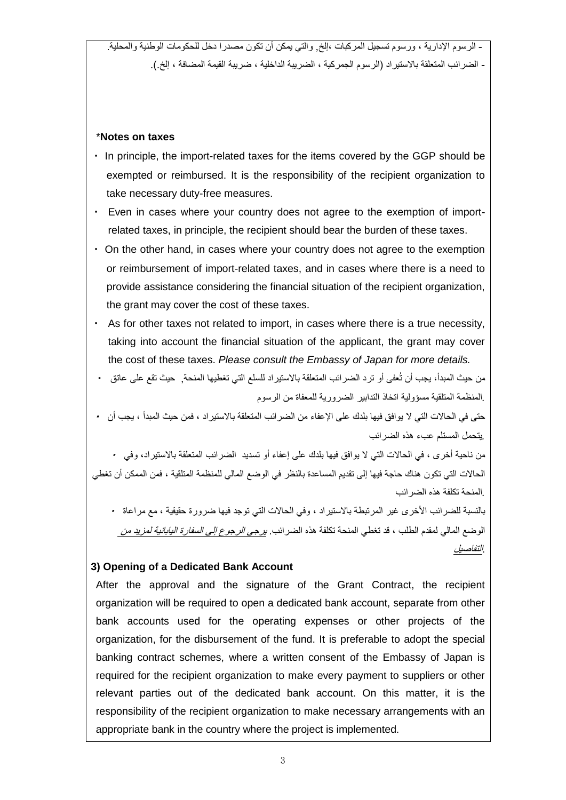- الرسوم اإلدارية ، ورسوم تسجيل المركبات ،إلخ, والتي يمكن أن تكون مصدرا دخل للحكومات الوطنية والمحلية. - الضرائب المتعلقة بالاستيراد (الرسوم الجمركية ، الضريبة الداخلية ، ضريبة القيمة المضافة ، إلخ.).

#### \***Notes on taxes**

- ・ In principle, the import-related taxes for the items covered by the GGP should be exempted or reimbursed. It is the responsibility of the recipient organization to take necessary duty-free measures.
- ・ Even in cases where your country does not agree to the exemption of importrelated taxes, in principle, the recipient should bear the burden of these taxes.
- ・ On the other hand, in cases where your country does not agree to the exemption or reimbursement of import-related taxes, and in cases where there is a need to provide assistance considering the financial situation of the recipient organization, the grant may cover the cost of these taxes.
- ・ As for other taxes not related to import, in cases where there is a true necessity, taking into account the financial situation of the applicant, the grant may cover the cost of these taxes. *Please consult the Embassy of Japan for more details.*
- من حيث المبدأ، يجب أن تُعفى أو ترد الضرائب المتعلقة باالستيراد للسلع التي تغطيها المنحة, حيث تقع على عاتق ・ *.*المنظمة المتلقية مسؤولية اتخاذ التدابير الضرورية للمعفاة من الرسوم
- حتى في الحاالت التي ال يوافق فيها بلدك على اإلعفاء من الضرائب المتعلقة باالستيراد ، فمن حيث المبدأ ، يجب أن ・ *.*يتحمل المستلم عبء هذه الضرائب

من ناحية أخرى ، في الحالات التي لا يوافق فيها بلدك على إعفاء أو تسديد الضرائب المتعلقة بالاستيراد، وفي • الحاالت التي تكون هناك حاجة فيها إلى تقديم المساعدة بالنظر في الوضع المالي للمنظمة المتلقية ، فمن الممكن أن تغطي *.*المنحة تكلفة هذه الضرائب

بالنسبة للضرائب الأخرى غير المرتبطة بالاستيراد ، وفي الحالات التي توجد فيها ضرورة حقيقية ، مع مراعاة ・ الوضع المالي لمقدم الطلب ، قد تغطي المنحة تكلفة هذه الضرائب. يرجى الرجوع إلى السفارة اليابانية لمزيد من .التفاصيل

## **3) Opening of a Dedicated Bank Account**

After the approval and the signature of the Grant Contract, the recipient organization will be required to open a dedicated bank account, separate from other bank accounts used for the operating expenses or other projects of the organization, for the disbursement of the fund. It is preferable to adopt the special banking contract schemes, where a written consent of the Embassy of Japan is required for the recipient organization to make every payment to suppliers or other relevant parties out of the dedicated bank account. On this matter, it is the responsibility of the recipient organization to make necessary arrangements with an appropriate bank in the country where the project is implemented.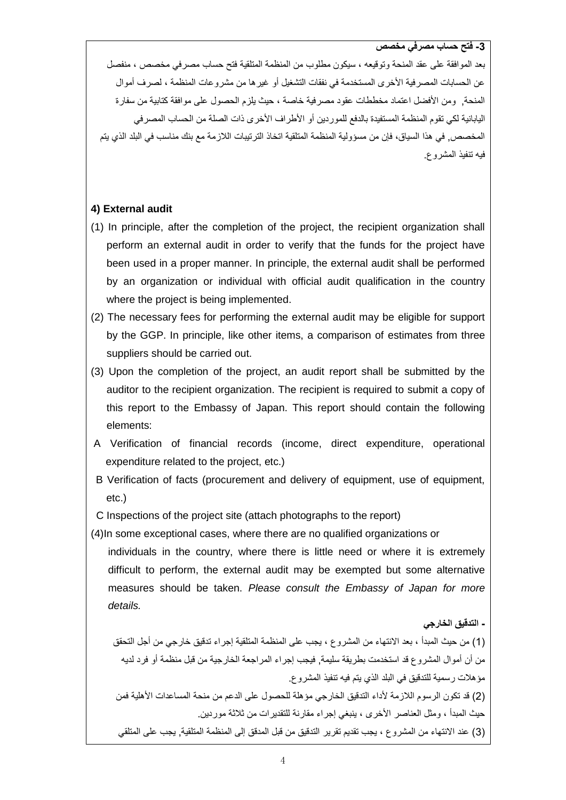**-3 فتح حساب مصرفي مخصص**

بعد الموافقة على عقد المنحة وتوقيعه ، سيكون مطلوب من المنظمة المتلقية فتح حساب مصرفي مخصص ، منفصل عن الحسابات المصرفية الأخرى المستخدمة في نفقات التشغيل أو غير ها من مشروعات المنظمة ، لصرف أموال المنحة, ومن الأفضل اعتماد مخططات عقود مصرفية خاصة ، حيث يلزم الحصول على موافقة كتابية من سفارة اليابانية لكي تقوم المنظمة المستفيدة بالدفع للموردين أو الأطراف الأخرى ذات الصلة من الحساب المصرفي المخصص, في هذا السياق، فإن من مسؤولية المنظمة المتلقية اتخاذ الترتيبات الالزمة مع بنك مناسب في البلد الذي يتم فيه تنفيذ المشروع.

#### **4) External audit**

- (1) In principle, after the completion of the project, the recipient organization shall perform an external audit in order to verify that the funds for the project have been used in a proper manner. In principle, the external audit shall be performed by an organization or individual with official audit qualification in the country where the project is being implemented.
- (2) The necessary fees for performing the external audit may be eligible for support by the GGP. In principle, like other items, a comparison of estimates from three suppliers should be carried out.
- (3) Upon the completion of the project, an audit report shall be submitted by the auditor to the recipient organization. The recipient is required to submit a copy of this report to the Embassy of Japan. This report should contain the following elements:
- A Verification of financial records (income, direct expenditure, operational expenditure related to the project, etc.)
- B Verification of facts (procurement and delivery of equipment, use of equipment, etc.)

C Inspections of the project site (attach photographs to the report)

(4)In some exceptional cases, where there are no qualified organizations or

individuals in the country, where there is little need or where it is extremely difficult to perform, the external audit may be exempted but some alternative measures should be taken. *Please consult the Embassy of Japan for more details.* 

**- التدقيق الخارجي**

)1( من حيث المبدأ ، بعد االنتهاء من المشروع ، يجب على المنظمة المتلقية إجراء تدقيق خارجي من أجل التحقق من أن أموال المشروع قد استخدمت بطريقة سليمة, فيجب إجراء المراجعة الخارجية من قبل منظمة أو فرد لديه مؤ هلات رسمية للتدقيق في البلد الذي يتم فيه تنفيذ المشروع. )2( قد تكون الرسوم الالزمة ألداء التدقيق الخارجي مؤهلة للحصول على الدعم من منحة المساعدات األهلية فمن حيث المبدأ ، ومثل العناصر األخرى ، ينبغي إجراء مقارنة للتقديرات من ثالثة موردين. )3( عند االنتهاء من المشروع ، يجب تقديم تقرير التدقيق من قبل المدقق إلى المنظمة المتلقية, يجب على المتلقي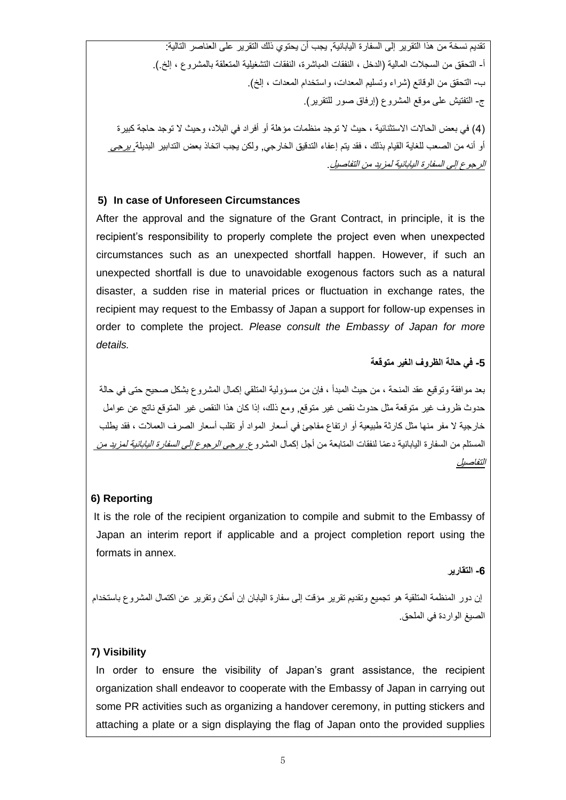تقديم نسخة من هذا التقرير إلى السفارة اليابانية, يجب أن يحتوي ذلك التقرير على العناصر التالية: أ- التحقق من السجلات المالية (الدخل ، النفقات المباشرة، النفقات التشغيلية المتعلقة بالمشروع ، إلخ.). ب- التحقق من الوقائع (شراء وتسليم المعدات، واستخدام المعدات ، إلخ). ج- التفتيش على موقع المشروع )إرفاق صور للتقرير(.

)4( في بعض الحاالت االستثنائية ، حيث ال توجد منظمات مؤهلة أو أفراد في البالد، وحيث ال توجد حاجة كبيرة أو أنه من الصعب للغاية القيام بذلك ، فقد يتم إعفاء التدقيق الخارجي, ولكن يجب اتخاذ بعض التدابير البديلة, يرجى الرجوع إلى السفارة اليابانية لمزيد من التفاصيل.

## **5) In case of Unforeseen Circumstances**

After the approval and the signature of the Grant Contract, in principle, it is the recipient's responsibility to properly complete the project even when unexpected circumstances such as an unexpected shortfall happen. However, if such an unexpected shortfall is due to unavoidable exogenous factors such as a natural disaster, a sudden rise in material prices or fluctuation in exchange rates, the recipient may request to the Embassy of Japan a support for follow-up expenses in order to complete the project. *Please consult the Embassy of Japan for more details.*

# **-5 في حالة الظروف الغير متوقعة**

بعد موافقة وتوقيع عقد المنحة ، من حيث المبدأ ، فإن من مسؤولية المتلقي إكمال المشروع بشكل صحيح حتى في حالة حدوث ظروف غير متوقعة مثل حدوث نقص غير متوقع, ومع ذلك، إذا كان هذا النقص غير المتوقع ناتج عن عوامل خارجية ال مفر منها مثل كارثة طبيعية أو ارتفاع مفاجئ في أسعار المواد أو تقلب أسعار الصرف العمالت ، فقد يطلب المستلم من السفار ة اليابانية دعمًا لنفقات المتابعة من أجل إكمال المشروع. *يرجى الر*ج*وع إلى السفار ة اليابانية لمزيد من* التفاصيل

# **6) Reporting**

It is the role of the recipient organization to compile and submit to the Embassy of Japan an interim report if applicable and a project completion report using the formats in annex.

## **-6 التقارير**

إن دور المنظمة المتلقية هو تجميع وتقديم تقرير مؤقت إلى سفارة اليابان إن أمكن وتقرير عن اكتمال المشروع باستخدام الصيغ الواردة في الملحق.

# **7) Visibility**

In order to ensure the visibility of Japan's grant assistance, the recipient organization shall endeavor to cooperate with the Embassy of Japan in carrying out some PR activities such as organizing a handover ceremony, in putting stickers and attaching a plate or a sign displaying the flag of Japan onto the provided supplies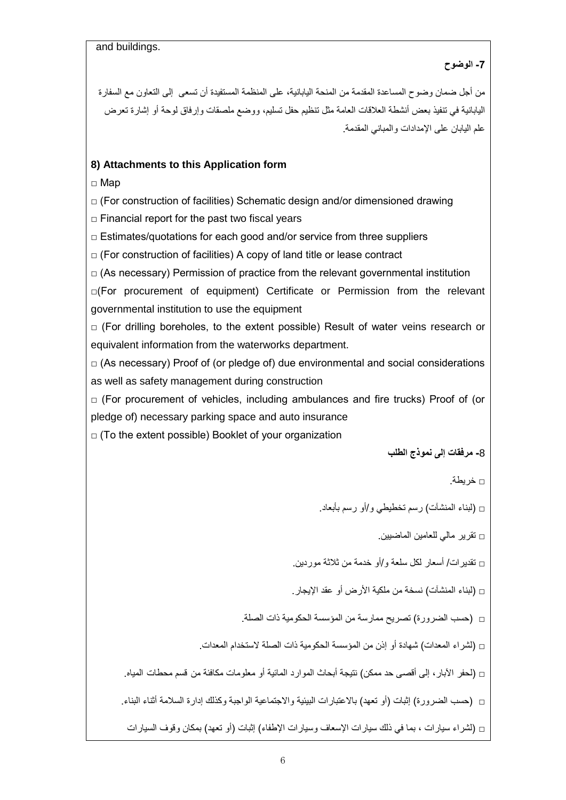and buildings.

## **-7 الوضوح**

من أجل ضمان وضوح المساعدة المقدمة من المنحة اليابانية، على المنظمة المستفيدة أن تسعى إلى التعاون مع السفارة اليابانية في تنفيذ بعض أنشطة العالقات العامة مثل تنظيم حفل تسليم، ووضع ملصقات وإرفاق لوحة أو إشارة تعرض علم اليابان على اإلمدادات والمباني المقدمة.

## **8) Attachments to this Application form**

□ Map

 $\Box$  (For construction of facilities) Schematic design and/or dimensioned drawing

 $\Box$  Financial report for the past two fiscal years

 $\Box$  Estimates/quotations for each good and/or service from three suppliers

 $\Box$  (For construction of facilities) A copy of land title or lease contract

 $\Box$  (As necessary) Permission of practice from the relevant governmental institution

□(For procurement of equipment) Certificate or Permission from the relevant governmental institution to use the equipment

 $\Box$  (For drilling boreholes, to the extent possible) Result of water veins research or equivalent information from the waterworks department.

 $\Box$  (As necessary) Proof of (or pledge of) due environmental and social considerations as well as safety management during construction

 $\Box$  (For procurement of vehicles, including ambulances and fire trucks) Proof of (or pledge of) necessary parking space and auto insurance

 $\Box$  (To the extent possible) Booklet of your organization

**-**8 **مرفقات إلى نموذج الطلب**

$$
\exists \text{ if } \mathbf{z} \in \mathbb{R}^n \text{ and } \mathbf{z} \in \mathbb{R}^n \text{ and } \mathbf{z} \in \mathbb{R}^n \text{ and } \mathbf{z} \in \mathbb{R}^n \text{ and } \mathbf{z} \in \mathbb{R}^n \text{ and } \mathbf{z} \in \mathbb{R}^n \text{ and } \mathbf{z} \in \mathbb{R}^n \text{ and } \mathbf{z} \in \mathbb{R}^n \text{ and } \mathbf{z} \in \mathbb{R}^n \text{ and } \mathbf{z} \in \mathbb{R}^n \text{ and } \mathbf{z} \in \mathbb{R}^n \text{ and } \mathbf{z} \in \mathbb{R}^n \text{ and } \mathbf{z} \in \mathbb{R}^n \text{ and } \mathbf{z} \in \mathbb{R}^n \text{ and } \mathbf{z} \in \mathbb{R}^n \text{ and } \mathbf{z} \in \mathbb{R}^n \text{ and } \mathbf{z} \in \mathbb{R}^n \text{ and } \mathbf{z} \in \mathbb{R}^n \text{ and } \mathbf{z} \in \mathbb{R}^n \text{ and } \mathbf{z} \in \mathbb{R}^n \text{ and } \mathbf{z} \in \mathbb{R}^n \text{ and } \mathbf{z} \in \mathbb{R}^n \text{ and } \mathbf{z} \in \mathbb{R}^n \text{ and } \mathbf{z} \in \mathbb{R}^n \text{ and } \mathbf{z} \in \mathbb{R}^n \text{ and } \mathbf{z} \in \mathbb{R}^n \text{ and } \mathbf{z} \in \mathbb{R}^n \text{ and } \mathbf{z} \in \mathbb{R}^n \text{ and } \mathbf{z} \in \mathbb{R}^n \text{ and } \mathbf{z} \in \mathbb{R}^n \text{ and } \mathbf{z} \in \mathbb{R}^n \text{ and } \mathbf{z} \in \mathbb{R}^n \text{ and } \mathbf{z} \in \mathbb{R}^n \text{ and } \mathbf{z} \in \mathbb{R}^n \text{ and } \mathbf{z} \in \mathbb{R}^n \text{ and } \mathbf{z} \in \mathbb{R}^n \text
$$

□ )لبناء المنشآت( رسم تخطيطي و/أو رسم بأبعاد.

$$
\Box
$$
 تقرير مالي للعامين الماضيين.

□ تقديرات/ أسعار لكل سلعة و/أو خدمة من ثالثة موردين.

□ )لبناء المنشآت( نسخة من ملكية األرض أو عقد اإليجار.

□ )حسب الضرورة( تصريح ممارسة من المؤسسة الحكومية ذات الصلة.

□ )لشراء المعدات( شهادة أو إذن من المؤسسة الحكومية ذات الصلة الستخدام المعدات.

□ )لحفر اآلبار، إلى أقصى حد ممكن( نتيجة أبحاث الموارد المائية أو معلومات مكافئة من قسم محطات المياه.

□ (حسب الضرورة) إثبات (أو تعهد) بالاعتبارات البيئية والاجتماعية الواجبة وكذلك إدارة السلامة أثناء البناء.

□ (لشراء سيارات ، بما في ذلك سيارات الإسعاف وسيارات الإطفاء) إثبات (أو تعهد) بمكان وقوف السيارات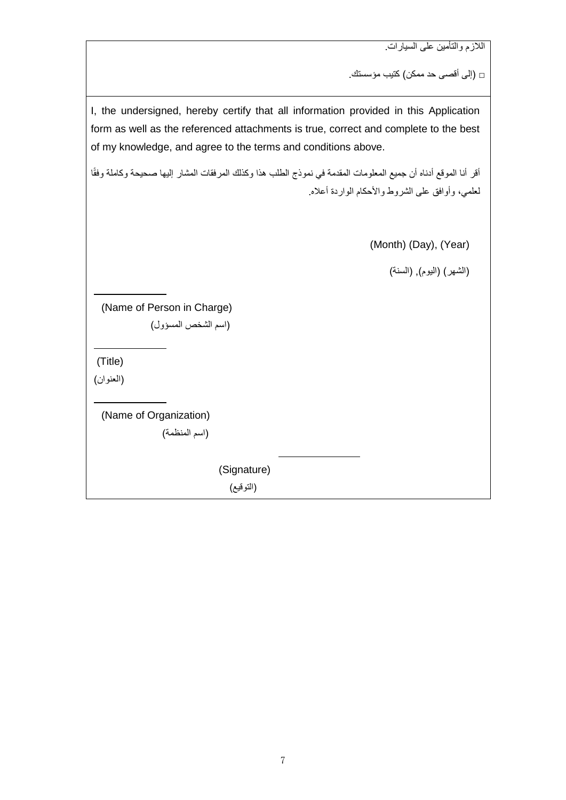الالزم والتأمين على السيارات.

□ )إلى أقصى حد ممكن( كتيب مؤسستك.

I, the undersigned, hereby certify that all information provided in this Application form as well as the referenced attachments is true, correct and complete to the best of my knowledge, and agree to the terms and conditions above.

أقر أنا الموقع أدناه أن جميع المعلومات المقدمة في نموذج الطلب هذا وكذلك المرفقات المشار إليها صحيحة وكاملة وفقًا لعلمي، وأوافق على الشروط واألحكام الواردة أعاله.

(Month) (Day), (Year)

(الشهر) (اليوم), (السنة)

(Name of Person in Charge) )اسم الشخص المسؤول(

(Title)

 $\overline{a}$ 

 $\overline{a}$ 

 $\overline{a}$ 

)العنوان(

(Name of Organization) )اسم المنظمة(

(Signature)

(التوقيع)